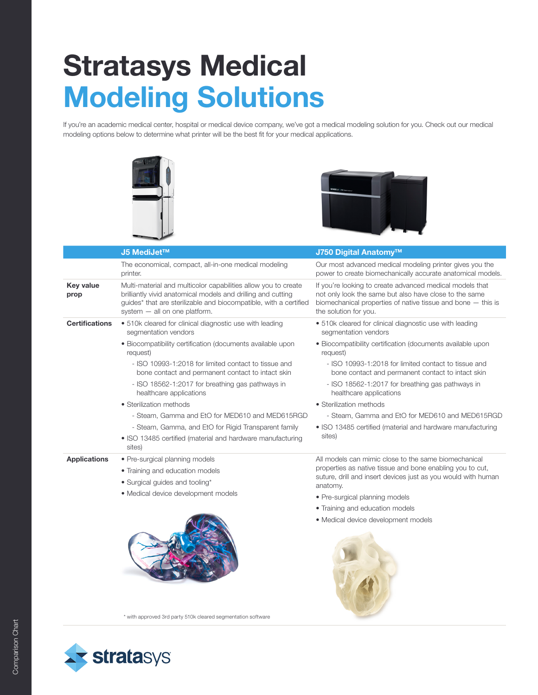## Stratasys Medical Modeling Solutions

If you're an academic medical center, hospital or medical device company, we've got a medical modeling solution for you. Check out our medical modeling options below to determine what printer will be the best fit for your medical applications.





|                          | J5 MediJet™                                                                                                                                                                                                                          | J750 Digital Anatomy™                                                                                                                                                                                         |
|--------------------------|--------------------------------------------------------------------------------------------------------------------------------------------------------------------------------------------------------------------------------------|---------------------------------------------------------------------------------------------------------------------------------------------------------------------------------------------------------------|
|                          | The economical, compact, all-in-one medical modeling<br>printer.                                                                                                                                                                     | Our most advanced medical modeling printer gives you the<br>power to create biomechanically accurate anatomical models.                                                                                       |
| <b>Key value</b><br>prop | Multi-material and multicolor capabilities allow you to create<br>brilliantly vivid anatomical models and drilling and cutting<br>guides* that are sterilizable and biocompatible, with a certified<br>system - all on one platform. | If you're looking to create advanced medical models that<br>not only look the same but also have close to the same<br>biomechanical properties of native tissue and bone $-$ this is<br>the solution for you. |
| <b>Certifications</b>    | • 510k cleared for clinical diagnostic use with leading<br>segmentation vendors                                                                                                                                                      | • 510k cleared for clinical diagnostic use with leading<br>segmentation vendors                                                                                                                               |
|                          | · Biocompatibility certification (documents available upon<br>request)                                                                                                                                                               | • Biocompatibility certification (documents available upon<br>request)                                                                                                                                        |
|                          | - ISO 10993-1:2018 for limited contact to tissue and<br>bone contact and permanent contact to intact skin                                                                                                                            | - ISO 10993-1:2018 for limited contact to tissue and<br>bone contact and permanent contact to intact skin                                                                                                     |
|                          | - ISO 18562-1:2017 for breathing gas pathways in<br>healthcare applications                                                                                                                                                          | - ISO 18562-1:2017 for breathing gas pathways in<br>healthcare applications                                                                                                                                   |
|                          | • Sterilization methods                                                                                                                                                                                                              | • Sterilization methods                                                                                                                                                                                       |
|                          | - Steam, Gamma and EtO for MED610 and MED615RGD                                                                                                                                                                                      | - Steam, Gamma and EtO for MED610 and MED615RGD                                                                                                                                                               |
|                          | - Steam, Gamma, and EtO for Rigid Transparent family<br>• ISO 13485 certified (material and hardware manufacturing<br>sites)                                                                                                         | • ISO 13485 certified (material and hardware manufacturing<br>sites)                                                                                                                                          |
| <b>Applications</b>      | • Pre-surgical planning models                                                                                                                                                                                                       | All models can mimic close to the same biomechanical<br>properties as native tissue and bone enabling you to cut,<br>suture, drill and insert devices just as you would with human<br>anatomy.                |
|                          | • Training and education models                                                                                                                                                                                                      |                                                                                                                                                                                                               |
|                          | • Surgical guides and tooling*                                                                                                                                                                                                       |                                                                                                                                                                                                               |
|                          | • Medical device development models                                                                                                                                                                                                  | • Pre-surgical planning models                                                                                                                                                                                |
|                          |                                                                                                                                                                                                                                      | • Training and education models                                                                                                                                                                               |
|                          |                                                                                                                                                                                                                                      | • Medical device development models                                                                                                                                                                           |

\* with approved 3rd party 510k cleared segmentation software